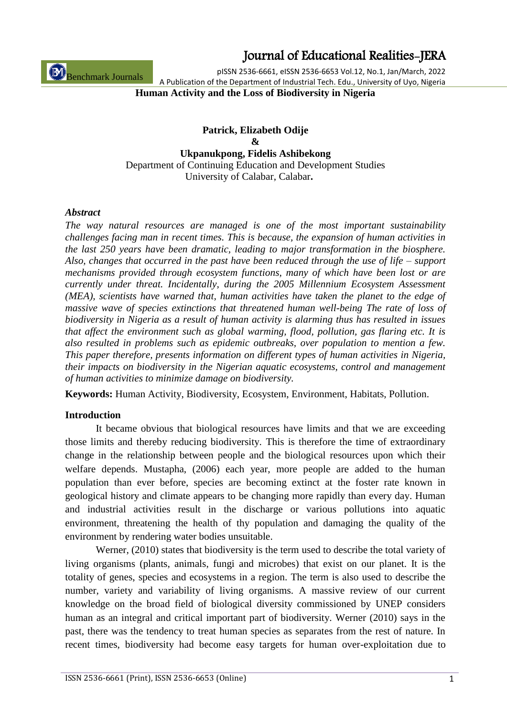those limits and thereby reducing biodiversity. This is therefore the time of extraordinary change in the relationship between people and the biological resources upon which their welfare depends. Mustapha, (2006) each year, more people are added to the human population than ever before, species are becoming extinct at the foster rate known in geological history and climate appears to be changing more rapidly than every day. Human and industrial activities result in the discharge or various pollutions into aquatic environment, threatening the health of thy population and damaging the quality of the environment by rendering water bodies unsuitable.

Werner, (2010) states that biodiversity is the term used to describe the total variety of living organisms (plants, animals, fungi and microbes) that exist on our planet. It is the totality of genes, species and ecosystems in a region. The term is also used to describe the number, variety and variability of living organisms. A massive review of our current knowledge on the broad field of biological diversity commissioned by UNEP considers human as an integral and critical important part of biodiversity. Werner (2010) says in the past, there was the tendency to treat human species as separates from the rest of nature. In recent times, biodiversity had become easy targets for human over-exploitation due to

**Keywords:** Human Activity, Biodiversity, Ecosystem, Environment, Habitats, Pollution.

It became obvious that biological resources have limits and that we are exceeding

### **Introduction**

*challenges facing man in recent times. This is because, the expansion of human activities in the last 250 years have been dramatic, leading to major transformation in the biosphere. Also, changes that occurred in the past have been reduced through the use of life – support mechanisms provided through ecosystem functions, many of which have been lost or are currently under threat. Incidentally, during the 2005 Millennium Ecosystem Assessment (MEA), scientists have warned that, human activities have taken the planet to the edge of massive wave of species extinctions that threatened human well-being The rate of loss of biodiversity in Nigeria as a result of human activity is alarming thus has resulted in issues that affect the environment such as global warming, flood, pollution, gas flaring etc. It is also resulted in problems such as epidemic outbreaks, over population to mention a few. This paper therefore, presents information on different types of human activities in Nigeria, their impacts on biodiversity in the Nigerian aquatic ecosystems, control and management of human activities to minimize damage on biodiversity.*

*The way natural resources are managed is one of the most important sustainability* 

*Abstract*

Benchmark Journals

**Human Activity and the Loss of Biodiversity in Nigeria**

**Patrick, Elizabeth Odije & Ukpanukpong, Fidelis Ashibekong** Department of Continuing Education and Development Studies University of Calabar, Calabar**.**

### Journal of Educational Realities-JERA

pISSN 2536-6661, eISSN 2536-6653 Vol.12, No.1, Jan/March, 2022

A Publication of the Department of Industrial Tech. Edu., University of Uyo, Nigeria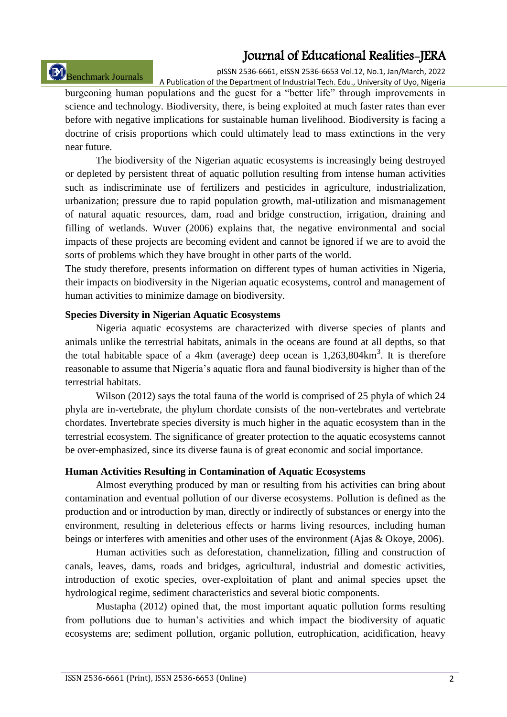# Benchmark Journals

pISSN 2536-6661, eISSN 2536-6653 Vol.12, No.1, Jan/March, 2022 A Publication of the Department of Industrial Tech. Edu., University of Uyo, Nigeria

burgeoning human populations and the guest for a "better life" through improvements in science and technology. Biodiversity, there, is being exploited at much faster rates than ever before with negative implications for sustainable human livelihood. Biodiversity is facing a doctrine of crisis proportions which could ultimately lead to mass extinctions in the very near future.

The biodiversity of the Nigerian aquatic ecosystems is increasingly being destroyed or depleted by persistent threat of aquatic pollution resulting from intense human activities such as indiscriminate use of fertilizers and pesticides in agriculture, industrialization, urbanization; pressure due to rapid population growth, mal-utilization and mismanagement of natural aquatic resources, dam, road and bridge construction, irrigation, draining and filling of wetlands. Wuver (2006) explains that, the negative environmental and social impacts of these projects are becoming evident and cannot be ignored if we are to avoid the sorts of problems which they have brought in other parts of the world.

The study therefore, presents information on different types of human activities in Nigeria, their impacts on biodiversity in the Nigerian aquatic ecosystems, control and management of human activities to minimize damage on biodiversity.

#### **Species Diversity in Nigerian Aquatic Ecosystems**

Nigeria aquatic ecosystems are characterized with diverse species of plants and animals unlike the terrestrial habitats, animals in the oceans are found at all depths, so that the total habitable space of a 4km (average) deep ocean is  $1,263,804 \text{km}^3$ . It is therefore reasonable to assume that Nigeria's aquatic flora and faunal biodiversity is higher than of the terrestrial habitats.

Wilson (2012) says the total fauna of the world is comprised of 25 phyla of which 24 phyla are in-vertebrate, the phylum chordate consists of the non-vertebrates and vertebrate chordates. Invertebrate species diversity is much higher in the aquatic ecosystem than in the terrestrial ecosystem. The significance of greater protection to the aquatic ecosystems cannot be over-emphasized, since its diverse fauna is of great economic and social importance.

#### **Human Activities Resulting in Contamination of Aquatic Ecosystems**

Almost everything produced by man or resulting from his activities can bring about contamination and eventual pollution of our diverse ecosystems. Pollution is defined as the production and or introduction by man, directly or indirectly of substances or energy into the environment, resulting in deleterious effects or harms living resources, including human beings or interferes with amenities and other uses of the environment (Ajas & Okoye, 2006).

Human activities such as deforestation, channelization, filling and construction of canals, leaves, dams, roads and bridges, agricultural, industrial and domestic activities, introduction of exotic species, over-exploitation of plant and animal species upset the hydrological regime, sediment characteristics and several biotic components.

Mustapha (2012) opined that, the most important aquatic pollution forms resulting from pollutions due to human's activities and which impact the biodiversity of aquatic ecosystems are; sediment pollution, organic pollution, eutrophication, acidification, heavy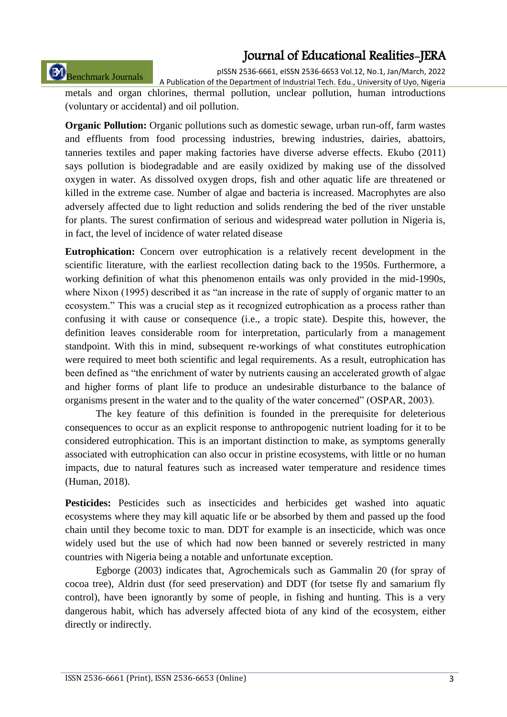# Benchmark Journals

pISSN 2536-6661, eISSN 2536-6653 Vol.12, No.1, Jan/March, 2022

A Publication of the Department of Industrial Tech. Edu., University of Uyo, Nigeria metals and organ chlorines, thermal pollution, unclear pollution, human introductions (voluntary or accidental) and oil pollution.

**Organic Pollution:** Organic pollutions such as domestic sewage, urban run-off, farm wastes and effluents from food processing industries, brewing industries, dairies, abattoirs, tanneries textiles and paper making factories have diverse adverse effects. Ekubo (2011) says pollution is biodegradable and are easily oxidized by making use of the dissolved oxygen in water. As dissolved oxygen drops, fish and other aquatic life are threatened or killed in the extreme case. Number of algae and bacteria is increased. Macrophytes are also adversely affected due to light reduction and solids rendering the bed of the river unstable for plants. The surest confirmation of serious and widespread water pollution in Nigeria is, in fact, the level of incidence of water related disease

**Eutrophication:** Concern over eutrophication is a relatively recent development in the scientific literature, with the earliest recollection dating back to the 1950s. Furthermore, a working definition of what this phenomenon entails was only provided in the mid-1990s, where Nixon (1995) described it as "an increase in the rate of supply of organic matter to an ecosystem." This was a crucial step as it recognized eutrophication as a process rather than confusing it with cause or consequence (i.e., a tropic state). Despite this, however, the definition leaves considerable room for interpretation, particularly from a management standpoint. With this in mind, subsequent re-workings of what constitutes eutrophication were required to meet both scientific and legal requirements. As a result, eutrophication has been defined as "the enrichment of water by nutrients causing an accelerated growth of algae and higher forms of plant life to produce an undesirable disturbance to the balance of organisms present in the water and to the quality of the water concerned" (OSPAR, 2003).

The key feature of this definition is founded in the prerequisite for deleterious consequences to occur as an explicit response to anthropogenic nutrient loading for it to be considered eutrophication. This is an important distinction to make, as symptoms generally associated with eutrophication can also occur in pristine ecosystems, with little or no human impacts, due to natural features such as increased water temperature and residence times (Human, 2018).

**Pesticides:** Pesticides such as insecticides and herbicides get washed into aquatic ecosystems where they may kill aquatic life or be absorbed by them and passed up the food chain until they become toxic to man. DDT for example is an insecticide, which was once widely used but the use of which had now been banned or severely restricted in many countries with Nigeria being a notable and unfortunate exception.

Egborge (2003) indicates that, Agrochemicals such as Gammalin 20 (for spray of cocoa tree), Aldrin dust (for seed preservation) and DDT (for tsetse fly and samarium fly control), have been ignorantly by some of people, in fishing and hunting. This is a very dangerous habit, which has adversely affected biota of any kind of the ecosystem, either directly or indirectly.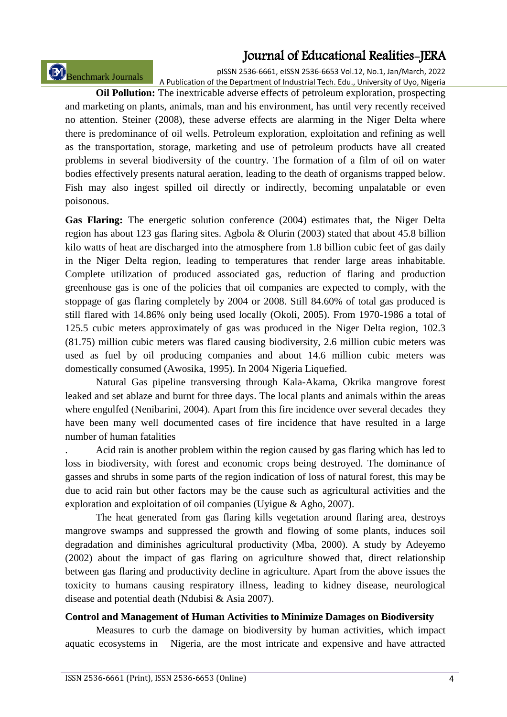Benchmark Journals

pISSN 2536-6661, eISSN 2536-6653 Vol.12, No.1, Jan/March, 2022 A Publication of the Department of Industrial Tech. Edu., University of Uyo, Nigeria

**Oil Pollution:** The inextricable adverse effects of petroleum exploration, prospecting and marketing on plants, animals, man and his environment, has until very recently received no attention. Steiner (2008), these adverse effects are alarming in the Niger Delta where there is predominance of oil wells. Petroleum exploration, exploitation and refining as well as the transportation, storage, marketing and use of petroleum products have all created problems in several biodiversity of the country. The formation of a film of oil on water bodies effectively presents natural aeration, leading to the death of organisms trapped below. Fish may also ingest spilled oil directly or indirectly, becoming unpalatable or even poisonous.

Gas Flaring: The energetic solution conference (2004) estimates that, the Niger Delta region has about 123 gas flaring sites. Agbola & Olurin (2003) stated that about 45.8 billion kilo watts of heat are discharged into the atmosphere from 1.8 billion cubic feet of gas daily in the Niger Delta region, leading to temperatures that render large areas inhabitable. Complete utilization of produced associated gas, reduction of flaring and production greenhouse gas is one of the policies that oil companies are expected to comply, with the stoppage of gas flaring completely by 2004 or 2008. Still 84.60% of total gas produced is still flared with 14.86% only being used locally (Okoli, 2005). From 1970-1986 a total of 125.5 cubic meters approximately of gas was produced in the Niger Delta region, 102.3 (81.75) million cubic meters was flared causing biodiversity, 2.6 million cubic meters was used as fuel by oil producing companies and about 14.6 million cubic meters was domestically consumed (Awosika, 1995). In 2004 Nigeria Liquefied.

Natural Gas pipeline transversing through Kala-Akama, Okrika mangrove forest leaked and set ablaze and burnt for three days. The local plants and animals within the areas where engulfed (Nenibarini, 2004). Apart from this fire incidence over several decades they have been many well documented cases of fire incidence that have resulted in a large number of human fatalities

. Acid rain is another problem within the region caused by gas flaring which has led to loss in biodiversity, with forest and economic crops being destroyed. The dominance of gasses and shrubs in some parts of the region indication of loss of natural forest, this may be due to acid rain but other factors may be the cause such as agricultural activities and the exploration and exploitation of oil companies (Uyigue & Agho, 2007).

The heat generated from gas flaring kills vegetation around flaring area, destroys mangrove swamps and suppressed the growth and flowing of some plants, induces soil degradation and diminishes agricultural productivity (Mba, 2000). A study by Adeyemo (2002) about the impact of gas flaring on agriculture showed that, direct relationship between gas flaring and productivity decline in agriculture. Apart from the above issues the toxicity to humans causing respiratory illness, leading to kidney disease, neurological disease and potential death (Ndubisi & Asia 2007).

#### **Control and Management of Human Activities to Minimize Damages on Biodiversity**

Measures to curb the damage on biodiversity by human activities, which impact aquatic ecosystems in Nigeria, are the most intricate and expensive and have attracted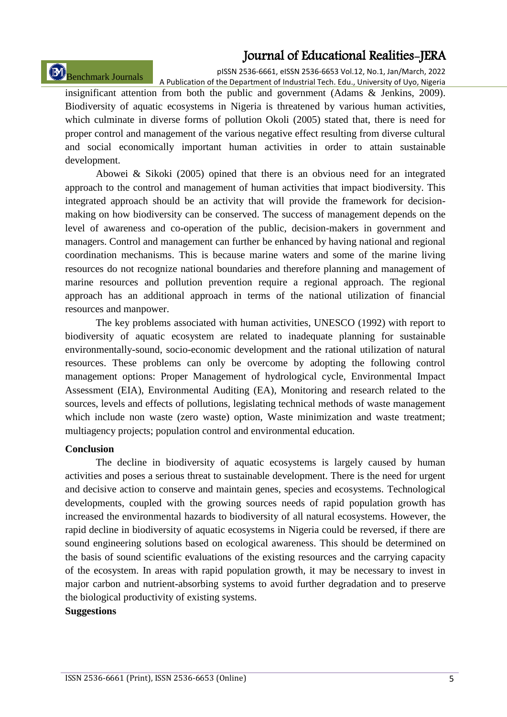# Benchmark Journals

pISSN 2536-6661, eISSN 2536-6653 Vol.12, No.1, Jan/March, 2022 A Publication of the Department of Industrial Tech. Edu., University of Uyo, Nigeria

insignificant attention from both the public and government (Adams & Jenkins, 2009). Biodiversity of aquatic ecosystems in Nigeria is threatened by various human activities, which culminate in diverse forms of pollution Okoli (2005) stated that, there is need for proper control and management of the various negative effect resulting from diverse cultural and social economically important human activities in order to attain sustainable development.

Abowei & Sikoki (2005) opined that there is an obvious need for an integrated approach to the control and management of human activities that impact biodiversity. This integrated approach should be an activity that will provide the framework for decisionmaking on how biodiversity can be conserved. The success of management depends on the level of awareness and co-operation of the public, decision-makers in government and managers. Control and management can further be enhanced by having national and regional coordination mechanisms. This is because marine waters and some of the marine living resources do not recognize national boundaries and therefore planning and management of marine resources and pollution prevention require a regional approach. The regional approach has an additional approach in terms of the national utilization of financial resources and manpower.

The key problems associated with human activities, UNESCO (1992) with report to biodiversity of aquatic ecosystem are related to inadequate planning for sustainable environmentally-sound, socio-economic development and the rational utilization of natural resources. These problems can only be overcome by adopting the following control management options: Proper Management of hydrological cycle, Environmental Impact Assessment (EIA), Environmental Auditing (EA), Monitoring and research related to the sources, levels and effects of pollutions, legislating technical methods of waste management which include non waste (zero waste) option, Waste minimization and waste treatment; multiagency projects; population control and environmental education.

#### **Conclusion**

The decline in biodiversity of aquatic ecosystems is largely caused by human activities and poses a serious threat to sustainable development. There is the need for urgent and decisive action to conserve and maintain genes, species and ecosystems. Technological developments, coupled with the growing sources needs of rapid population growth has increased the environmental hazards to biodiversity of all natural ecosystems. However, the rapid decline in biodiversity of aquatic ecosystems in Nigeria could be reversed, if there are sound engineering solutions based on ecological awareness. This should be determined on the basis of sound scientific evaluations of the existing resources and the carrying capacity of the ecosystem. In areas with rapid population growth, it may be necessary to invest in major carbon and nutrient-absorbing systems to avoid further degradation and to preserve the biological productivity of existing systems.

#### **Suggestions**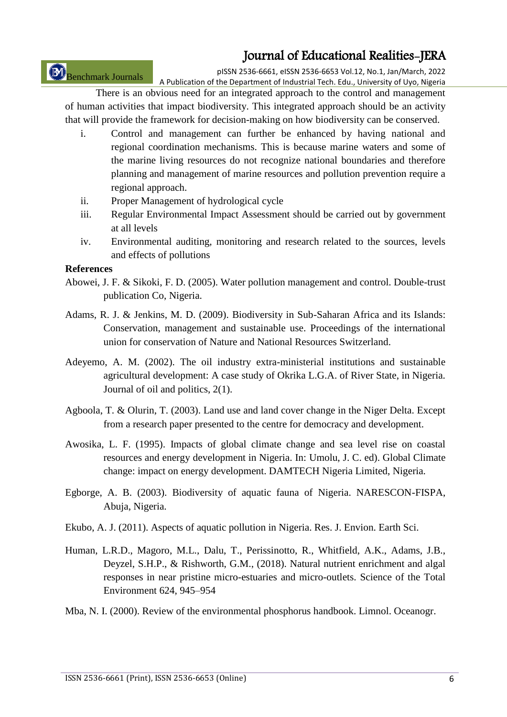Benchmark Journals

pISSN 2536-6661, eISSN 2536-6653 Vol.12, No.1, Jan/March, 2022 A Publication of the Department of Industrial Tech. Edu., University of Uyo, Nigeria

There is an obvious need for an integrated approach to the control and management of human activities that impact biodiversity. This integrated approach should be an activity that will provide the framework for decision-making on how biodiversity can be conserved.

- i. Control and management can further be enhanced by having national and regional coordination mechanisms. This is because marine waters and some of the marine living resources do not recognize national boundaries and therefore planning and management of marine resources and pollution prevention require a regional approach.
- ii. Proper Management of hydrological cycle
- iii. Regular Environmental Impact Assessment should be carried out by government at all levels
- iv. Environmental auditing, monitoring and research related to the sources, levels and effects of pollutions

### **References**

- Abowei, J. F. & Sikoki, F. D. (2005). Water pollution management and control. Double-trust publication Co, Nigeria.
- Adams, R. J. & Jenkins, M. D. (2009). Biodiversity in Sub-Saharan Africa and its Islands: Conservation, management and sustainable use. Proceedings of the international union for conservation of Nature and National Resources Switzerland.
- Adeyemo, A. M. (2002). The oil industry extra-ministerial institutions and sustainable agricultural development: A case study of Okrika L.G.A. of River State, in Nigeria. Journal of oil and politics, 2(1).
- Agboola, T. & Olurin, T. (2003). Land use and land cover change in the Niger Delta. Except from a research paper presented to the centre for democracy and development.
- Awosika, L. F. (1995). Impacts of global climate change and sea level rise on coastal resources and energy development in Nigeria. In: Umolu, J. C. ed). Global Climate change: impact on energy development. DAMTECH Nigeria Limited, Nigeria.
- Egborge, A. B. (2003). Biodiversity of aquatic fauna of Nigeria. NARESCON-FISPA, Abuja, Nigeria.
- Ekubo, A. J. (2011). Aspects of aquatic pollution in Nigeria. Res. J. Envion. Earth Sci.
- Human, L.R.D., Magoro, M.L., Dalu, T., Perissinotto, R., Whitfield, A.K., Adams, J.B., Deyzel, S.H.P., & Rishworth, G.M., (2018). Natural nutrient enrichment and algal responses in near pristine micro-estuaries and micro-outlets. Science of the Total Environment 624, 945–954
- Mba, N. I. (2000). Review of the environmental phosphorus handbook. Limnol. Oceanogr.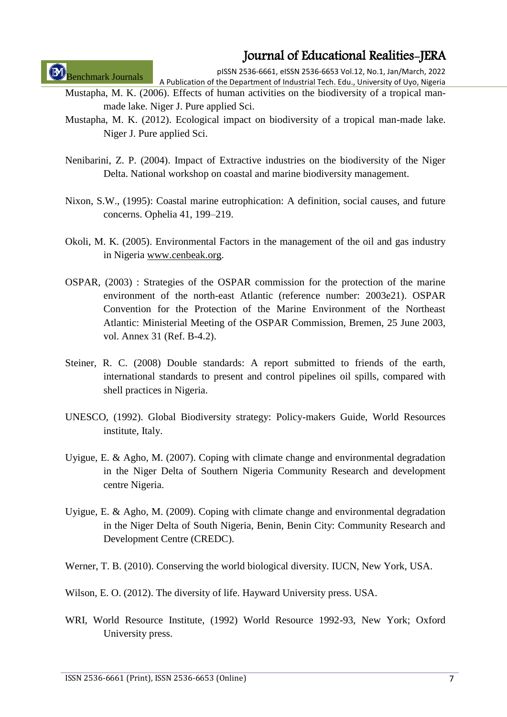Benchmark Journals

pISSN 2536-6661, eISSN 2536-6653 Vol.12, No.1, Jan/March, 2022 A Publication of the Department of Industrial Tech. Edu., University of Uyo, Nigeria

- Mustapha, M. K. (2006). Effects of human activities on the biodiversity of a tropical manmade lake. Niger J. Pure applied Sci.
- Mustapha, M. K. (2012). Ecological impact on biodiversity of a tropical man-made lake. Niger J. Pure applied Sci.
- Nenibarini, Z. P. (2004). Impact of Extractive industries on the biodiversity of the Niger Delta. National workshop on coastal and marine biodiversity management.
- Nixon, S.W., (1995): Coastal marine eutrophication: A definition, social causes, and future concerns. Ophelia 41, 199–219.
- Okoli, M. K. (2005). Environmental Factors in the management of the oil and gas industry in Nigeria [www.cenbeak.org.](http://www.cenbeak.org/)
- OSPAR, (2003) : Strategies of the OSPAR commission for the protection of the marine environment of the north-east Atlantic (reference number: 2003e21). OSPAR Convention for the Protection of the Marine Environment of the Northeast Atlantic: Ministerial Meeting of the OSPAR Commission, Bremen, 25 June 2003, vol. Annex 31 (Ref. B-4.2).
- Steiner, R. C. (2008) Double standards: A report submitted to friends of the earth, international standards to present and control pipelines oil spills, compared with shell practices in Nigeria.
- UNESCO, (1992). Global Biodiversity strategy: Policy-makers Guide, World Resources institute, Italy.
- Uyigue, E. & Agho, M. (2007). Coping with climate change and environmental degradation in the Niger Delta of Southern Nigeria Community Research and development centre Nigeria.
- Uyigue, E. & Agho, M. (2009). Coping with climate change and environmental degradation in the Niger Delta of South Nigeria, Benin, Benin City: Community Research and Development Centre (CREDC).
- Werner, T. B. (2010). Conserving the world biological diversity. IUCN, New York, USA.
- Wilson, E. O. (2012). The diversity of life. Hayward University press. USA.
- WRI, World Resource Institute, (1992) World Resource 1992-93, New York; Oxford University press.